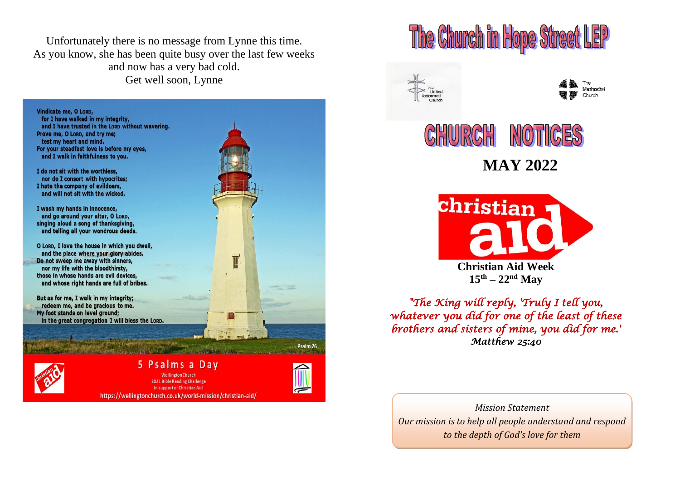Unfortunately there is no message from Lynne this time. As you know, she has been quite busy over the last few weeks and now has a very bad cold. Get well soon, Lynne

Vindicate me, O LORD, for I have walked in my integrity, and I have trusted in the LORD without wavering. Prove me, O Lorp, and try me; test my heart and mind. For your steadfast love is before my eyes, and I walk in faithfulness to you.

I do not sit with the worthless, nor do I consort with hypocrites: I hate the company of evildoers, and will not sit with the wicked.

I wash my hands in innocence. and go around your altar, O LORD, singing aloud a song of thanksgiving, and telling all your wondrous deeds.

O LORD, I love the house in which you dwell, and the place where your glory abides. Do not sweep me away with sinners, nor my life with the bloodthirsty, those in whose hands are evil devices. and whose right hands are full of bribes.

But as for me. I walk in my integrity: redeem me, and be gracious to me. My foot stands on level ground; in the great congregation I will bless the LORD.

#### 5 Psalms a Dav **Wellington Church** 2021 Bible Reading Challenge In support of Christian Aid https://wellingtonchurch.co.uk/world-mission/christian-aid/

T

Psalm 26

# The Church in Hope Street LEP







**MAY 2022**



*"The King will reply, 'Truly I tell you, whatever you did for one of the least of these brothers and sisters of mine, you did for me.' Matthew 25:40* 

*Mission Statement Our mission is to help all people understand and respond to the depth of God's love for them*